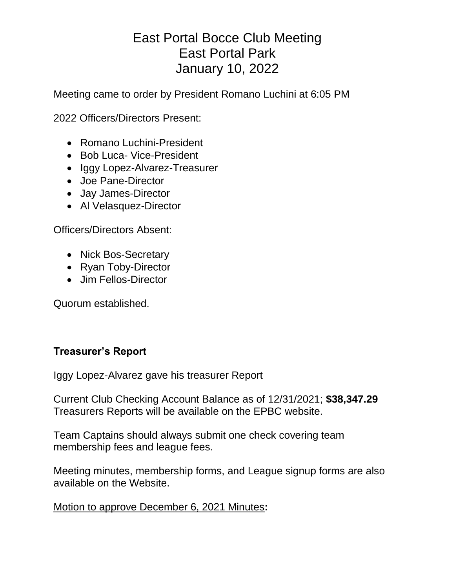# East Portal Bocce Club Meeting East Portal Park January 10, 2022

Meeting came to order by President Romano Luchini at 6:05 PM

2022 Officers/Directors Present:

- Romano Luchini-President
- Bob Luca- Vice-President
- Iggy Lopez-Alvarez-Treasurer
- Joe Pane-Director
- Jay James-Director
- Al Velasquez-Director

Officers/Directors Absent:

- Nick Bos-Secretary
- Ryan Toby-Director
- Jim Fellos-Director

Quorum established.

# **Treasurer's Report**

Iggy Lopez-Alvarez gave his treasurer Report

Current Club Checking Account Balance as of 12/31/2021; **\$38,347.29** Treasurers Reports will be available on the EPBC website.

Team Captains should always submit one check covering team membership fees and league fees.

Meeting minutes, membership forms, and League signup forms are also available on the Website.

## Motion to approve December 6, 2021 Minutes**:**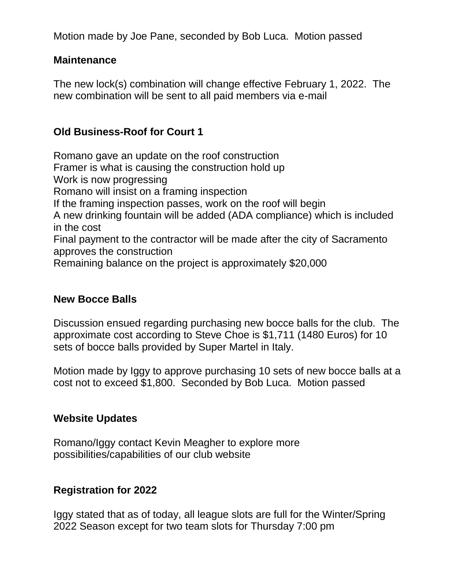Motion made by Joe Pane, seconded by Bob Luca. Motion passed

### **Maintenance**

The new lock(s) combination will change effective February 1, 2022. The new combination will be sent to all paid members via e-mail

# **Old Business-Roof for Court 1**

Romano gave an update on the roof construction Framer is what is causing the construction hold up Work is now progressing Romano will insist on a framing inspection If the framing inspection passes, work on the roof will begin A new drinking fountain will be added (ADA compliance) which is included in the cost Final payment to the contractor will be made after the city of Sacramento approves the construction Remaining balance on the project is approximately \$20,000

#### **New Bocce Balls**

Discussion ensued regarding purchasing new bocce balls for the club. The approximate cost according to Steve Choe is \$1,711 (1480 Euros) for 10 sets of bocce balls provided by Super Martel in Italy.

Motion made by Iggy to approve purchasing 10 sets of new bocce balls at a cost not to exceed \$1,800. Seconded by Bob Luca. Motion passed

#### **Website Updates**

Romano/Iggy contact Kevin Meagher to explore more possibilities/capabilities of our club website

#### **Registration for 2022**

Iggy stated that as of today, all league slots are full for the Winter/Spring 2022 Season except for two team slots for Thursday 7:00 pm